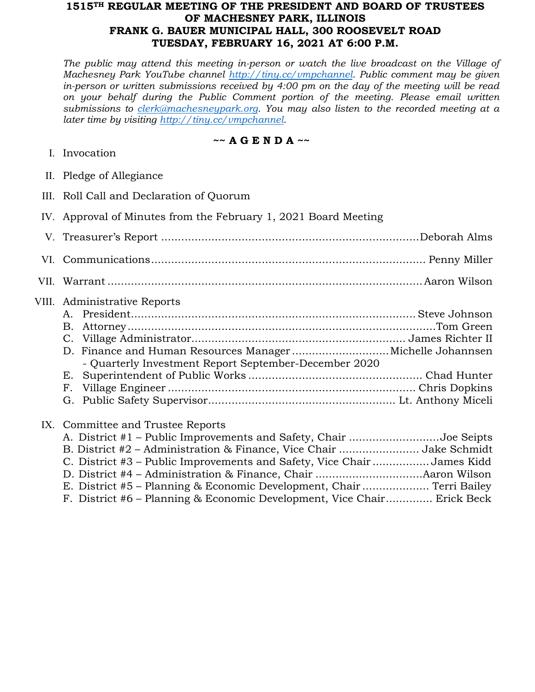## **1515TH REGULAR MEETING OF THE PRESIDENT AND BOARD OF TRUSTEES OF MACHESNEY PARK, ILLINOIS FRANK G. BAUER MUNICIPAL HALL, 300 ROOSEVELT ROAD TUESDAY, FEBRUARY 16, 2021 AT 6:00 P.M.**

*The public may attend this meeting in-person or watch the live broadcast on the Village of Machesney Park YouTube channel [http://tiny.cc/vmpchannel.](http://tiny.cc/vmpchannel) Public comment may be given in-person or written submissions received by 4:00 pm on the day of the meeting will be read on your behalf during the Public Comment portion of the meeting. Please email written submissions to [clerk@machesneypark.org.](mailto:clerk@machesneypark.org) You may also listen to the recorded meeting at a later time by visiting [http://tiny.cc/vmpchannel.](http://tiny.cc/vmpchannel)* 

## **~~ A G E N D A ~~**

- I. Invocation
- II. Pledge of Allegiance
- III. Roll Call and Declaration of Quorum
- IV. Approval of Minutes from the February 1, 2021 Board Meeting

| VII. |                                                                                                                                                               |  |
|------|---------------------------------------------------------------------------------------------------------------------------------------------------------------|--|
|      | VIII. Administrative Reports<br>D. Finance and Human Resources ManagerMichelle Johannsen<br>- Quarterly Investment Report September-December 2020<br>Е.<br>F. |  |
|      | IX. Committee and Trustee Reports                                                                                                                             |  |

## A. District #1 – Public Improvements and Safety, Chair ...........................Joe Seipts B. District #2 – Administration & Finance, Vice Chair ........................ Jake Schmidt C. District #3 – Public Improvements and Safety, Vice Chair ................. James Kidd D. District #4 – Administration & Finance, Chair ................................Aaron Wilson E. District #5 – Planning & Economic Development, Chair .................... Terri Bailey F. District #6 – Planning & Economic Development, Vice Chair.............. Erick Beck